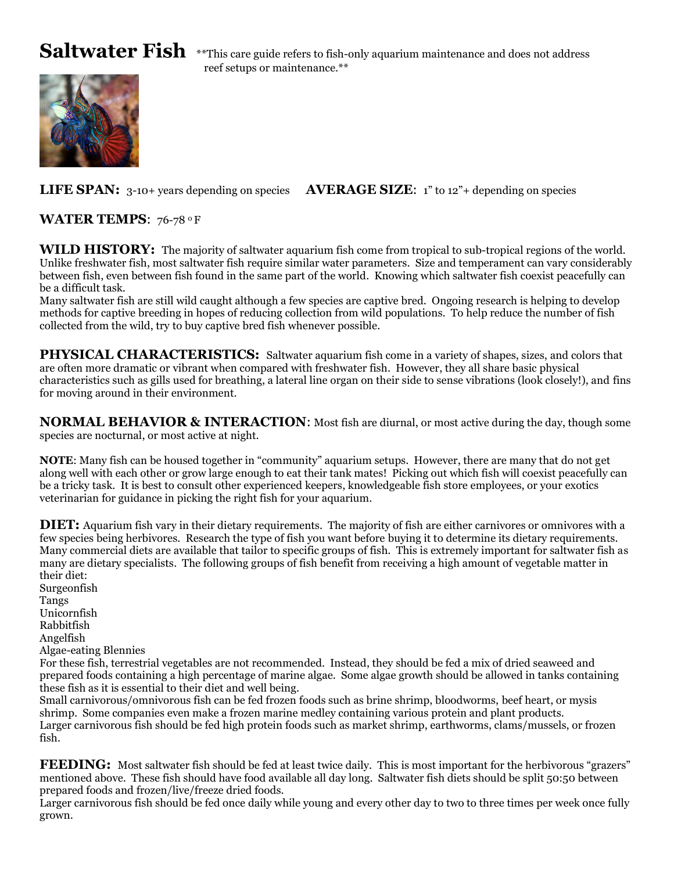Saltwater Fish \*\*This care guide refers to fish-only aquarium maintenance and does not address reef setups or maintenance.\*\*

**LIFE SPAN:** 3-10+ years depending on species **AVERAGE SIZE**: 1" to 12"+ depending on species

**WATER TEMPS: 76-78 °F** 

**WILD HISTORY:** The majority of saltwater aquarium fish come from tropical to sub-tropical regions of the world. Unlike freshwater fish, most saltwater fish require similar water parameters. Size and temperament can vary considerably between fish, even between fish found in the same part of the world. Knowing which saltwater fish coexist peacefully can be a difficult task.

Many saltwater fish are still wild caught although a few species are captive bred. Ongoing research is helping to develop methods for captive breeding in hopes of reducing collection from wild populations. To help reduce the number of fish collected from the wild, try to buy captive bred fish whenever possible.

**PHYSICAL CHARACTERISTICS:** Saltwater aquarium fish come in a variety of shapes, sizes, and colors that are often more dramatic or vibrant when compared with freshwater fish. However, they all share basic physical characteristics such as gills used for breathing, a lateral line organ on their side to sense vibrations (look closely!), and fins for moving around in their environment.

**NORMAL BEHAVIOR & INTERACTION**: Most fish are diurnal, or most active during the day, though some species are nocturnal, or most active at night.

**NOTE**: Many fish can be housed together in "community" aquarium setups. However, there are many that do not get along well with each other or grow large enough to eat their tank mates! Picking out which fish will coexist peacefully can be a tricky task. It is best to consult other experienced keepers, knowledgeable fish store employees, or your exotics veterinarian for guidance in picking the right fish for your aquarium.

**DIET:** Aquarium fish vary in their dietary requirements. The majority of fish are either carnivores or omnivores with a few species being herbivores. Research the type of fish you want before buying it to determine its dietary requirements. Many commercial diets are available that tailor to specific groups of fish. This is extremely important for saltwater fish as many are dietary specialists. The following groups of fish benefit from receiving a high amount of vegetable matter in their diet:

Surgeonfish Tangs Unicornfish Rabbitfish Angelfish Algae-eating Blennies

For these fish, terrestrial vegetables are not recommended. Instead, they should be fed a mix of dried seaweed and prepared foods containing a high percentage of marine algae. Some algae growth should be allowed in tanks containing these fish as it is essential to their diet and well being.

Small carnivorous/omnivorous fish can be fed frozen foods such as brine shrimp, bloodworms, beef heart, or mysis shrimp. Some companies even make a frozen marine medley containing various protein and plant products. Larger carnivorous fish should be fed high protein foods such as market shrimp, earthworms, clams/mussels, or frozen fish.

**FEEDING:** Most saltwater fish should be fed at least twice daily. This is most important for the herbivorous "grazers" mentioned above. These fish should have food available all day long. Saltwater fish diets should be split 50:50 between prepared foods and frozen/live/freeze dried foods.

Larger carnivorous fish should be fed once daily while young and every other day to two to three times per week once fully grown.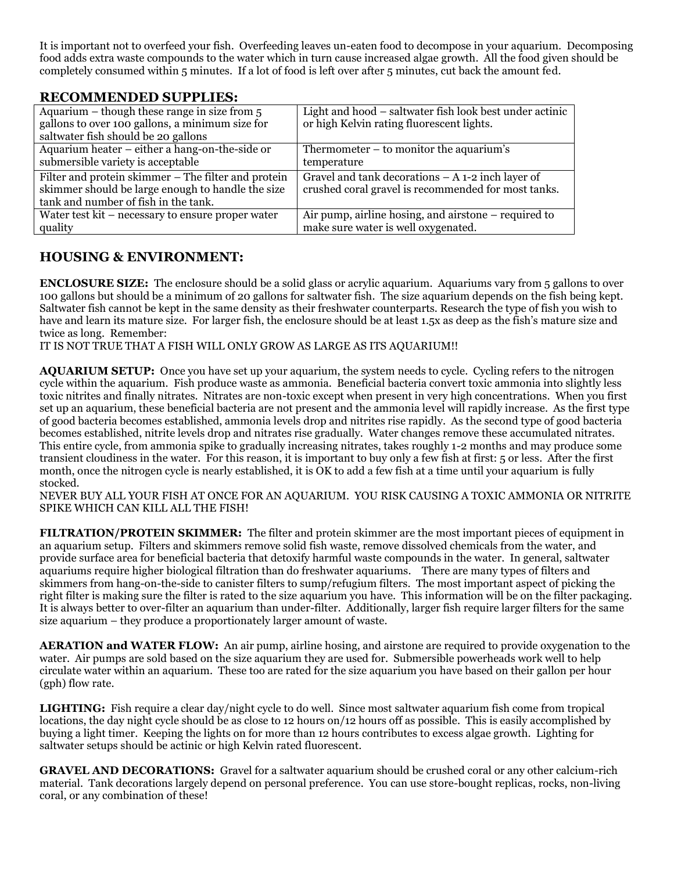It is important not to overfeed your fish. Overfeeding leaves un-eaten food to decompose in your aquarium. Decomposing food adds extra waste compounds to the water which in turn cause increased algae growth. All the food given should be completely consumed within 5 minutes. If a lot of food is left over after 5 minutes, cut back the amount fed.

# **RECOMMENDED SUPPLIES:**

| Aquarium $-$ though these range in size from $5$                                                                                                 | Light and hood – saltwater fish look best under actinic                                                   |
|--------------------------------------------------------------------------------------------------------------------------------------------------|-----------------------------------------------------------------------------------------------------------|
| gallons to over 100 gallons, a minimum size for                                                                                                  | or high Kelvin rating fluorescent lights.                                                                 |
| saltwater fish should be 20 gallons                                                                                                              |                                                                                                           |
| Aquarium heater – either a hang-on-the-side or                                                                                                   | Thermometer $-$ to monitor the aquarium's                                                                 |
| submersible variety is acceptable                                                                                                                | temperature                                                                                               |
| Filter and protein skimmer - The filter and protein<br>skimmer should be large enough to handle the size<br>tank and number of fish in the tank. | Gravel and tank decorations $-A$ 1-2 inch layer of<br>crushed coral gravel is recommended for most tanks. |
| Water test kit – necessary to ensure proper water                                                                                                | Air pump, airline hosing, and airstone $-$ required to                                                    |
| quality                                                                                                                                          | make sure water is well oxygenated.                                                                       |

# **HOUSING & ENVIRONMENT:**

**ENCLOSURE SIZE:** The enclosure should be a solid glass or acrylic aquarium. Aquariums vary from 5 gallons to over 100 gallons but should be a minimum of 20 gallons for saltwater fish. The size aquarium depends on the fish being kept. Saltwater fish cannot be kept in the same density as their freshwater counterparts. Research the type of fish you wish to have and learn its mature size. For larger fish, the enclosure should be at least 1.5x as deep as the fish's mature size and twice as long. Remember:

IT IS NOT TRUE THAT A FISH WILL ONLY GROW AS LARGE AS ITS AQUARIUM!!

**AQUARIUM SETUP:** Once you have set up your aquarium, the system needs to cycle. Cycling refers to the nitrogen cycle within the aquarium. Fish produce waste as ammonia. Beneficial bacteria convert toxic ammonia into slightly less toxic nitrites and finally nitrates. Nitrates are non-toxic except when present in very high concentrations. When you first set up an aquarium, these beneficial bacteria are not present and the ammonia level will rapidly increase. As the first type of good bacteria becomes established, ammonia levels drop and nitrites rise rapidly. As the second type of good bacteria becomes established, nitrite levels drop and nitrates rise gradually. Water changes remove these accumulated nitrates. This entire cycle, from ammonia spike to gradually increasing nitrates, takes roughly 1-2 months and may produce some transient cloudiness in the water. For this reason, it is important to buy only a few fish at first: 5 or less. After the first month, once the nitrogen cycle is nearly established, it is OK to add a few fish at a time until your aquarium is fully stocked.

NEVER BUY ALL YOUR FISH AT ONCE FOR AN AQUARIUM. YOU RISK CAUSING A TOXIC AMMONIA OR NITRITE SPIKE WHICH CAN KILL ALL THE FISH!

**FILTRATION/PROTEIN SKIMMER:** The filter and protein skimmer are the most important pieces of equipment in an aquarium setup. Filters and skimmers remove solid fish waste, remove dissolved chemicals from the water, and provide surface area for beneficial bacteria that detoxify harmful waste compounds in the water. In general, saltwater aquariums require higher biological filtration than do freshwater aquariums. There are many types of filters and skimmers from hang-on-the-side to canister filters to sump/refugium filters. The most important aspect of picking the right filter is making sure the filter is rated to the size aquarium you have. This information will be on the filter packaging. It is always better to over-filter an aquarium than under-filter. Additionally, larger fish require larger filters for the same size aquarium – they produce a proportionately larger amount of waste.

**AERATION and WATER FLOW:** An air pump, airline hosing, and airstone are required to provide oxygenation to the water. Air pumps are sold based on the size aquarium they are used for. Submersible powerheads work well to help circulate water within an aquarium. These too are rated for the size aquarium you have based on their gallon per hour (gph) flow rate.

**LIGHTING:** Fish require a clear day/night cycle to do well. Since most saltwater aquarium fish come from tropical locations, the day night cycle should be as close to 12 hours on/12 hours off as possible. This is easily accomplished by buying a light timer. Keeping the lights on for more than 12 hours contributes to excess algae growth. Lighting for saltwater setups should be actinic or high Kelvin rated fluorescent.

**GRAVEL AND DECORATIONS:** Gravel for a saltwater aquarium should be crushed coral or any other calcium-rich material. Tank decorations largely depend on personal preference. You can use store-bought replicas, rocks, non-living coral, or any combination of these!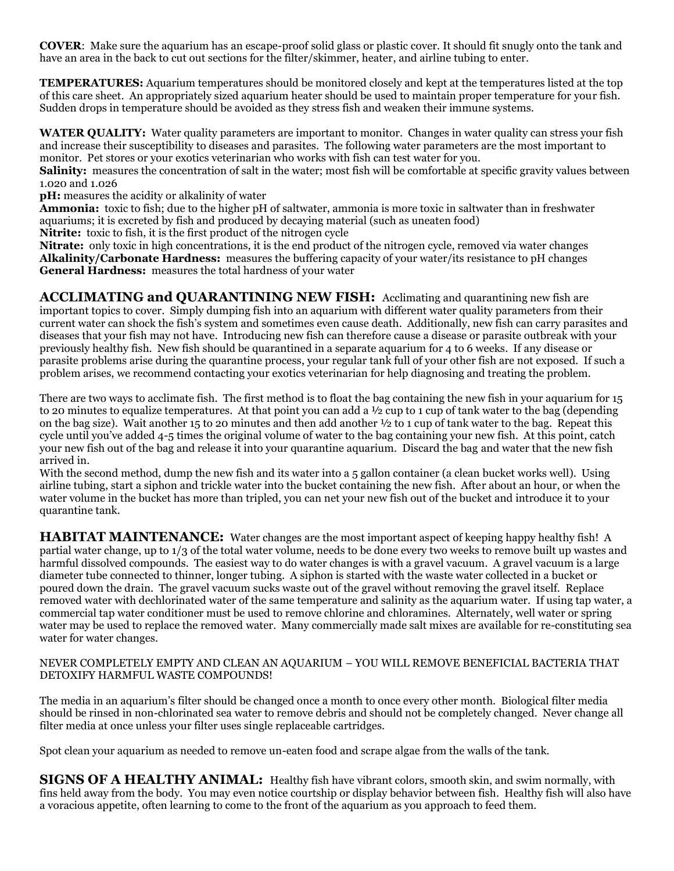**COVER**: Make sure the aquarium has an escape-proof solid glass or plastic cover. It should fit snugly onto the tank and have an area in the back to cut out sections for the filter/skimmer, heater, and airline tubing to enter.

**TEMPERATURES:** Aquarium temperatures should be monitored closely and kept at the temperatures listed at the top of this care sheet. An appropriately sized aquarium heater should be used to maintain proper temperature for your fish. Sudden drops in temperature should be avoided as they stress fish and weaken their immune systems.

**WATER QUALITY:** Water quality parameters are important to monitor. Changes in water quality can stress your fish and increase their susceptibility to diseases and parasites. The following water parameters are the most important to monitor. Pet stores or your exotics veterinarian who works with fish can test water for you.

**Salinity:** measures the concentration of salt in the water; most fish will be comfortable at specific gravity values between 1.020 and 1.026

**pH:** measures the acidity or alkalinity of water

**Ammonia:** toxic to fish; due to the higher pH of saltwater, ammonia is more toxic in saltwater than in freshwater aquariums; it is excreted by fish and produced by decaying material (such as uneaten food)

**Nitrite:** toxic to fish, it is the first product of the nitrogen cycle

**Nitrate:** only toxic in high concentrations, it is the end product of the nitrogen cycle, removed via water changes **Alkalinity/Carbonate Hardness:** measures the buffering capacity of your water/its resistance to pH changes **General Hardness:** measures the total hardness of your water

**ACCLIMATING and QUARANTINING NEW FISH:** Acclimating and quarantining new fish are important topics to cover. Simply dumping fish into an aquarium with different water quality parameters from their current water can shock the fish's system and sometimes even cause death. Additionally, new fish can carry parasites and diseases that your fish may not have. Introducing new fish can therefore cause a disease or parasite outbreak with your previously healthy fish. New fish should be quarantined in a separate aquarium for 4 to 6 weeks. If any disease or parasite problems arise during the quarantine process, your regular tank full of your other fish are not exposed. If such a problem arises, we recommend contacting your exotics veterinarian for help diagnosing and treating the problem.

There are two ways to acclimate fish. The first method is to float the bag containing the new fish in your aquarium for 15 to 20 minutes to equalize temperatures. At that point you can add a ½ cup to 1 cup of tank water to the bag (depending on the bag size). Wait another 15 to 20 minutes and then add another ½ to 1 cup of tank water to the bag. Repeat this cycle until you've added 4-5 times the original volume of water to the bag containing your new fish. At this point, catch your new fish out of the bag and release it into your quarantine aquarium. Discard the bag and water that the new fish arrived in.

With the second method, dump the new fish and its water into a 5 gallon container (a clean bucket works well). Using airline tubing, start a siphon and trickle water into the bucket containing the new fish. After about an hour, or when the water volume in the bucket has more than tripled, you can net your new fish out of the bucket and introduce it to your quarantine tank.

**HABITAT MAINTENANCE:** Water changes are the most important aspect of keeping happy healthy fish! A partial water change, up to 1/3 of the total water volume, needs to be done every two weeks to remove built up wastes and harmful dissolved compounds. The easiest way to do water changes is with a gravel vacuum. A gravel vacuum is a large diameter tube connected to thinner, longer tubing. A siphon is started with the waste water collected in a bucket or poured down the drain. The gravel vacuum sucks waste out of the gravel without removing the gravel itself. Replace removed water with dechlorinated water of the same temperature and salinity as the aquarium water. If using tap water, a commercial tap water conditioner must be used to remove chlorine and chloramines. Alternately, well water or spring water may be used to replace the removed water. Many commercially made salt mixes are available for re-constituting sea water for water changes.

### NEVER COMPLETELY EMPTY AND CLEAN AN AQUARIUM – YOU WILL REMOVE BENEFICIAL BACTERIA THAT DETOXIFY HARMFUL WASTE COMPOUNDS!

The media in an aquarium's filter should be changed once a month to once every other month. Biological filter media should be rinsed in non-chlorinated sea water to remove debris and should not be completely changed. Never change all filter media at once unless your filter uses single replaceable cartridges.

Spot clean your aquarium as needed to remove un-eaten food and scrape algae from the walls of the tank.

**SIGNS OF A HEALTHY ANIMAL:** Healthy fish have vibrant colors, smooth skin, and swim normally, with fins held away from the body. You may even notice courtship or display behavior between fish. Healthy fish will also have a voracious appetite, often learning to come to the front of the aquarium as you approach to feed them.